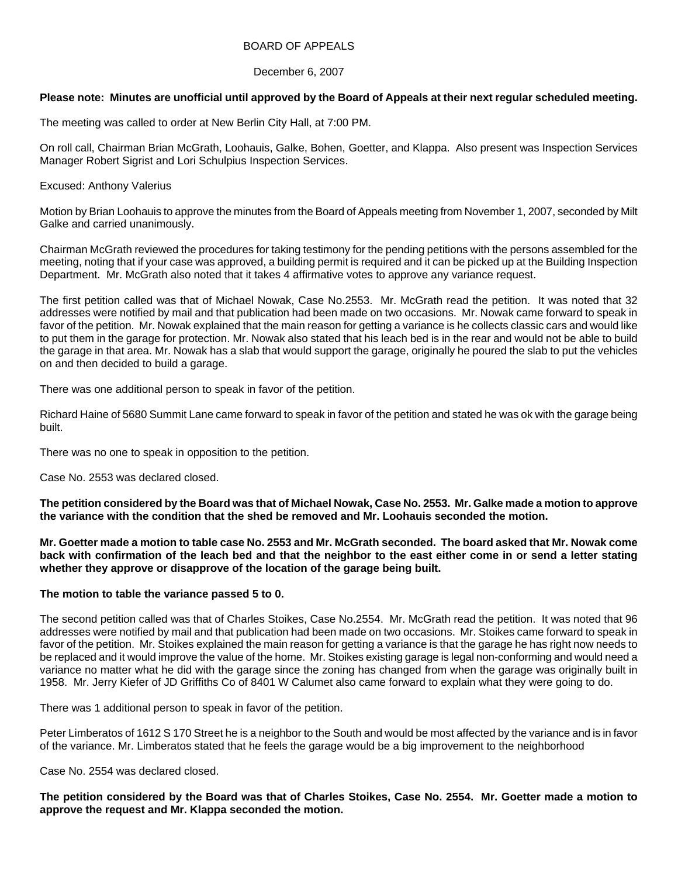### BOARD OF APPEALS

### December 6, 2007

# **Please note: Minutes are unofficial until approved by the Board of Appeals at their next regular scheduled meeting.**

The meeting was called to order at New Berlin City Hall, at 7:00 PM.

On roll call, Chairman Brian McGrath, Loohauis, Galke, Bohen, Goetter, and Klappa. Also present was Inspection Services Manager Robert Sigrist and Lori Schulpius Inspection Services.

Excused: Anthony Valerius

Motion by Brian Loohauis to approve the minutes from the Board of Appeals meeting from November 1, 2007, seconded by Milt Galke and carried unanimously.

Chairman McGrath reviewed the procedures for taking testimony for the pending petitions with the persons assembled for the meeting, noting that if your case was approved, a building permit is required and it can be picked up at the Building Inspection Department. Mr. McGrath also noted that it takes 4 affirmative votes to approve any variance request.

The first petition called was that of Michael Nowak, Case No.2553. Mr. McGrath read the petition. It was noted that 32 addresses were notified by mail and that publication had been made on two occasions. Mr. Nowak came forward to speak in favor of the petition. Mr. Nowak explained that the main reason for getting a variance is he collects classic cars and would like to put them in the garage for protection. Mr. Nowak also stated that his leach bed is in the rear and would not be able to build the garage in that area. Mr. Nowak has a slab that would support the garage, originally he poured the slab to put the vehicles on and then decided to build a garage.

There was one additional person to speak in favor of the petition.

Richard Haine of 5680 Summit Lane came forward to speak in favor of the petition and stated he was ok with the garage being built.

There was no one to speak in opposition to the petition.

Case No. 2553 was declared closed.

**The petition considered by the Board was that of Michael Nowak, Case No. 2553. Mr. Galke made a motion to approve the variance with the condition that the shed be removed and Mr. Loohauis seconded the motion.** 

**Mr. Goetter made a motion to table case No. 2553 and Mr. McGrath seconded. The board asked that Mr. Nowak come back with confirmation of the leach bed and that the neighbor to the east either come in or send a letter stating whether they approve or disapprove of the location of the garage being built.** 

### **The motion to table the variance passed 5 to 0.**

The second petition called was that of Charles Stoikes, Case No.2554. Mr. McGrath read the petition. It was noted that 96 addresses were notified by mail and that publication had been made on two occasions. Mr. Stoikes came forward to speak in favor of the petition. Mr. Stoikes explained the main reason for getting a variance is that the garage he has right now needs to be replaced and it would improve the value of the home. Mr. Stoikes existing garage is legal non-conforming and would need a variance no matter what he did with the garage since the zoning has changed from when the garage was originally built in 1958. Mr. Jerry Kiefer of JD Griffiths Co of 8401 W Calumet also came forward to explain what they were going to do.

There was 1 additional person to speak in favor of the petition.

Peter Limberatos of 1612 S 170 Street he is a neighbor to the South and would be most affected by the variance and is in favor of the variance. Mr. Limberatos stated that he feels the garage would be a big improvement to the neighborhood

Case No. 2554 was declared closed.

**The petition considered by the Board was that of Charles Stoikes, Case No. 2554. Mr. Goetter made a motion to approve the request and Mr. Klappa seconded the motion.**